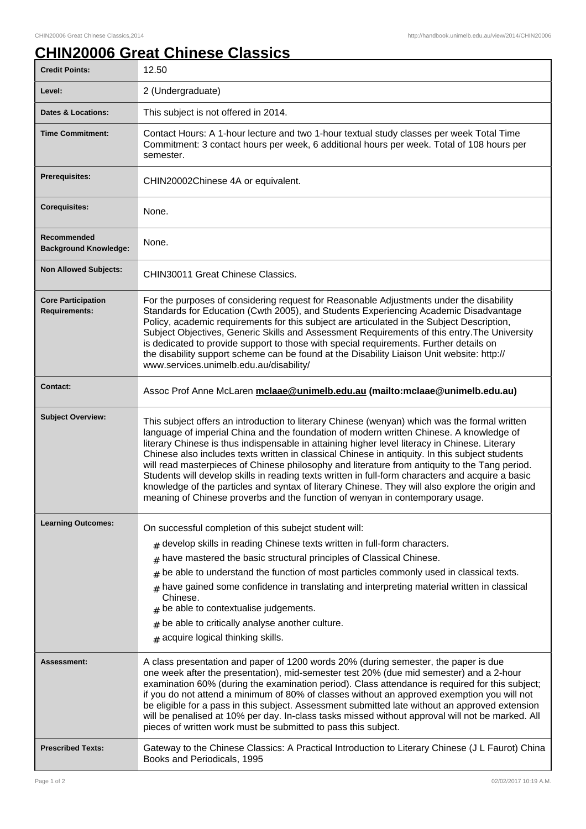## **CHIN20006 Great Chinese Classics**

| <b>Credit Points:</b>                             | 12.50                                                                                                                                                                                                                                                                                                                                                                                                                                                                                                                                                                                                                                                                                                                                                                                     |
|---------------------------------------------------|-------------------------------------------------------------------------------------------------------------------------------------------------------------------------------------------------------------------------------------------------------------------------------------------------------------------------------------------------------------------------------------------------------------------------------------------------------------------------------------------------------------------------------------------------------------------------------------------------------------------------------------------------------------------------------------------------------------------------------------------------------------------------------------------|
| Level:                                            | 2 (Undergraduate)                                                                                                                                                                                                                                                                                                                                                                                                                                                                                                                                                                                                                                                                                                                                                                         |
| <b>Dates &amp; Locations:</b>                     | This subject is not offered in 2014.                                                                                                                                                                                                                                                                                                                                                                                                                                                                                                                                                                                                                                                                                                                                                      |
| <b>Time Commitment:</b>                           | Contact Hours: A 1-hour lecture and two 1-hour textual study classes per week Total Time<br>Commitment: 3 contact hours per week, 6 additional hours per week. Total of 108 hours per<br>semester.                                                                                                                                                                                                                                                                                                                                                                                                                                                                                                                                                                                        |
| Prerequisites:                                    | CHIN20002Chinese 4A or equivalent.                                                                                                                                                                                                                                                                                                                                                                                                                                                                                                                                                                                                                                                                                                                                                        |
| <b>Corequisites:</b>                              | None.                                                                                                                                                                                                                                                                                                                                                                                                                                                                                                                                                                                                                                                                                                                                                                                     |
| Recommended<br><b>Background Knowledge:</b>       | None.                                                                                                                                                                                                                                                                                                                                                                                                                                                                                                                                                                                                                                                                                                                                                                                     |
| <b>Non Allowed Subjects:</b>                      | CHIN30011 Great Chinese Classics.                                                                                                                                                                                                                                                                                                                                                                                                                                                                                                                                                                                                                                                                                                                                                         |
| <b>Core Participation</b><br><b>Requirements:</b> | For the purposes of considering request for Reasonable Adjustments under the disability<br>Standards for Education (Cwth 2005), and Students Experiencing Academic Disadvantage<br>Policy, academic requirements for this subject are articulated in the Subject Description,<br>Subject Objectives, Generic Skills and Assessment Requirements of this entry. The University<br>is dedicated to provide support to those with special requirements. Further details on<br>the disability support scheme can be found at the Disability Liaison Unit website: http://<br>www.services.unimelb.edu.au/disability/                                                                                                                                                                          |
| <b>Contact:</b>                                   | Assoc Prof Anne McLaren mclaae@unimelb.edu.au (mailto:mclaae@unimelb.edu.au)                                                                                                                                                                                                                                                                                                                                                                                                                                                                                                                                                                                                                                                                                                              |
| <b>Subject Overview:</b>                          | This subject offers an introduction to literary Chinese (wenyan) which was the formal written<br>language of imperial China and the foundation of modern written Chinese. A knowledge of<br>literary Chinese is thus indispensable in attaining higher level literacy in Chinese. Literary<br>Chinese also includes texts written in classical Chinese in antiquity. In this subject students<br>will read masterpieces of Chinese philosophy and literature from antiquity to the Tang period.<br>Students will develop skills in reading texts written in full-form characters and acquire a basic<br>knowledge of the particles and syntax of literary Chinese. They will also explore the origin and<br>meaning of Chinese proverbs and the function of wenyan in contemporary usage. |
| <b>Learning Outcomes:</b>                         | On successful completion of this subejct student will:<br>$#$ develop skills in reading Chinese texts written in full-form characters.<br>have mastered the basic structural principles of Classical Chinese.<br>#<br>be able to understand the function of most particles commonly used in classical texts.<br>#<br>have gained some confidence in translating and interpreting material written in classical<br>#<br>Chinese.<br>be able to contextualise judgements.<br>#<br>be able to critically analyse another culture.<br>#<br># acquire logical thinking skills.                                                                                                                                                                                                                 |
| Assessment:                                       | A class presentation and paper of 1200 words 20% (during semester, the paper is due<br>one week after the presentation), mid-semester test 20% (due mid semester) and a 2-hour<br>examination 60% (during the examination period). Class attendance is required for this subject;<br>if you do not attend a minimum of 80% of classes without an approved exemption you will not<br>be eligible for a pass in this subject. Assessment submitted late without an approved extension<br>will be penalised at 10% per day. In-class tasks missed without approval will not be marked. All<br>pieces of written work must be submitted to pass this subject.                                                                                                                                 |
| <b>Prescribed Texts:</b>                          | Gateway to the Chinese Classics: A Practical Introduction to Literary Chinese (J L Faurot) China<br>Books and Periodicals, 1995                                                                                                                                                                                                                                                                                                                                                                                                                                                                                                                                                                                                                                                           |